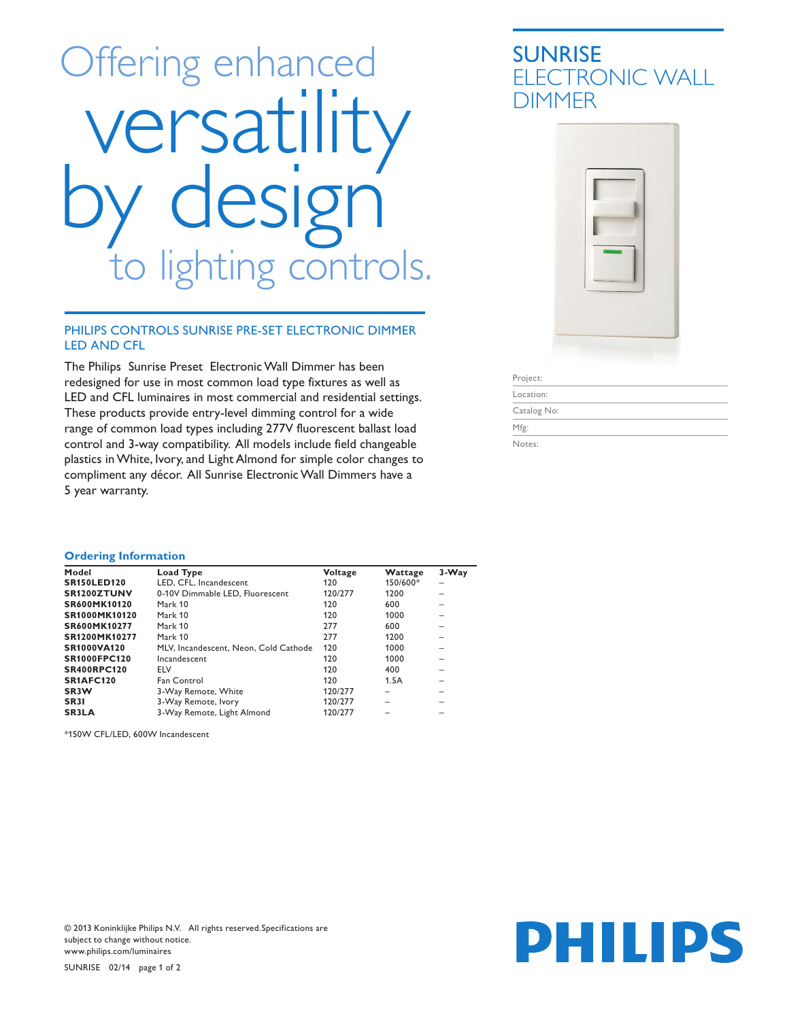# Offering enhanced versatility esig lighting controls.

#### PHILIPS CONTROLS SUNRISE PRE-SET ELECTRONIC DIMMER LED AND CFL

The Philips Sunrise Preset Electronic Wall Dimmer has been redesigned for use in most common load type fixtures as well as LED and CFL luminaires in most commercial and residential settings. These products provide entry-level dimming control for a wide range of common load types including 277V fluorescent ballast load control and 3-way compatibility. All models include field changeable plastics in White, Ivory, and Light Almond for simple color changes to compliment any décor. All Sunrise Electronic Wall Dimmers have a 5 year warranty.

### SUNRISE ELECTRONIC WALL DIMMER



Project:

Location: Catalog No:

Mfg:

Notes:

#### **Ordering Information**

| Model               | Load Type                             | Voltage | Wattage  | 3-Way |
|---------------------|---------------------------------------|---------|----------|-------|
| <b>SR150LED120</b>  | LED. CFL. Incandescent                | 120     | 150/600* |       |
| SR1200ZTUNV         | 0-10V Dimmable LED, Fluorescent       | 120/277 | 1200     |       |
| SR600MK10120        | Mark 10                               | 120     | 600      |       |
| SR1000MK10120       | Mark 10                               | 120     | 1000     |       |
| SR600MK10277        | Mark 10                               | 277     | 600      |       |
| SR1200MK10277       | Mark 10                               | 277     | 1200     |       |
| <b>SR1000VA120</b>  | MLV, Incandescent, Neon, Cold Cathode | 120     | 1000     |       |
| <b>SR1000FPC120</b> | Incandescent                          | 120     | 1000     |       |
| <b>SR400RPC120</b>  | ELV                                   | 120     | 400      |       |
| SR1AFC120           | Fan Control                           | 120     | 1.5A     |       |
| SR <sub>3</sub> W   | 3-Way Remote, White                   | 120/277 |          |       |
| SR <sub>3</sub> I   | 3-Way Remote, Ivory                   | 120/277 |          |       |
| <b>SR3LA</b>        | 3-Way Remote, Light Almond            | 120/277 |          |       |

\*150W CFL/LED, 600W Incandescent

© 2013 Koninklijke Philips N.V. All rights reserved.Specifications are subject to change without notice. www.philips.com/luminaires